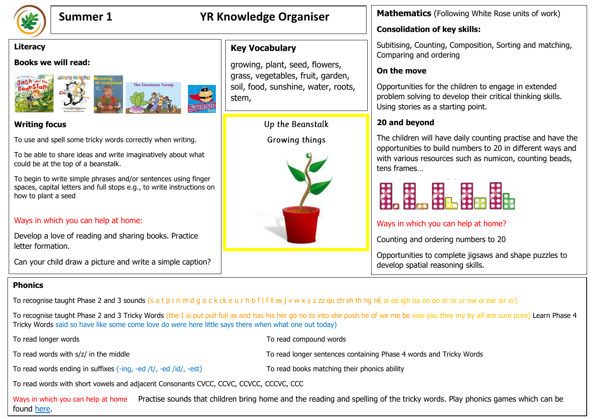

# **Summer 1 YR Knowledge Organiser**

#### **Literacy**

#### **Books we will read:**





### **Writing focus**

To use and spell some tricky words correctly when writing.

To be able to share ideas and write imaginatively about what could be at the top of a beanstalk.

To begin to write simple phrases and/or sentences using finger spaces, capital letters and full stops e.g., to write instructions on how to plant a seed

#### Ways in which you can help at home:

Develop a love of reading and sharing books. Practice letter formation.

Can your child draw a picture and write a simple caption?

## **Key Vocabulary**

growing, plant, seed, flowers, grass, vegetables, fruit, garden, soil, food, sunshine, water, roots, stem,

Up the Beanstalk

Growing things



**Mathematics** (Following White Rose units of work)

## **Consolidation of key skills:**

Subitising, Counting, Composition, Sorting and matching, Comparing and ordering

## **On the move**

Opportunities for the children to engage in extended problem solving to develop their critical thinking skills. Using stories as a starting point.

## **20 and beyond**

The children will have daily counting practise and have the opportunities to build numbers to 20 in different ways and with various resources such as numicon, counting beads, tens frames…



## Ways in which you can help at home?

Counting and ordering numbers to 20

Opportunities to complete jigsaws and shape puzzles to develop spatial reasoning skills.

## **Phonics**

To recognise taught Phase 2 and 3 sounds (s a t p i n m d g o c k ck e u r h b f l f ll ss j v w x y z zz qu ch sh th ng nk ai ee igh oa oo oo ar or ur ow oi ear air er)

To recognise taught Phase 2 and 3 Tricky Words (the I is put pull full as and has his her go no to into she push he of we me be was you they my by all are sure pure) Learn Phase 4 Tricky Words said so have like some come love do were here little says there when what one out today)

To read longer words To read compound words

To read words with s/z/ in the middle To read longer sentences containing Phase 4 words and Tricky Words

To read words ending in suffixes (-ing, -ed /t/, -ed /id/, -est) To read books matching their phonics ability

To read words with short vowels and adjacent Consonants CVCC, CCVC, CCVCC, CCCVC, CCC

Ways in which you can help at home Practise sounds that children bring home and the reading and spelling of the tricky words. Play phonics games which can be found [here.](https://www.phonicsplay.co.uk/)